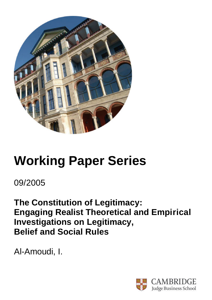

# **Working Paper Series**

09/2005

**The Constitution of Legitimacy: Engaging Realist Theoretical and Empirical Investigations on Legitimacy, Belief and Social Rules**

Al-Amoudi, I.

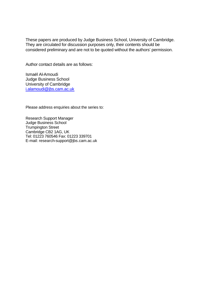These papers are produced by Judge Business School, University of Cambridge. They are circulated for discussion purposes only, their contents should be considered preliminary and are not to be quoted without the authors' permission.

Author contact details are as follows:

Ismaël Al-Amoudi Judge Business School University of Cambridge i.alamoudi@jbs.cam.ac.uk

Please address enquiries about the series to:

Research Support Manager Judge Business School Trumpington Street Cambridge CB2 1AG, UK Tel: 01223 760546 Fax: 01223 339701 E-mail: research-support@jbs.cam.ac.uk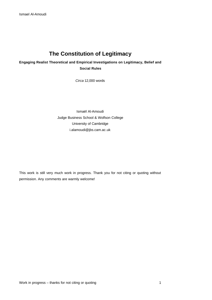# **The Constitution of Legitimacy**

**Engaging Realist Theoretical and Empirical Investigations on Legitimacy, Belief and Social Rules**

*Circa* 12,000 words

Ismaël Al-Amoudi Judge Business School & Wolfson College University of Cambridge i.alamoudi@jbs.cam.ac.uk

This work is still very much work in progress. Thank you for not citing or quoting without permission. Any comments are warmly welcome!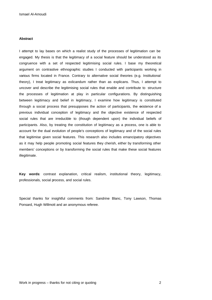#### **Abstract**

I attempt to lay bases on which a realist study of the processes of legitimation can be engaged. My thesis is that the legitimacy of a social feature should be understood as its congruence with a set of respected legitimising social rules. I base my theoretical argument on contrastive ethnographic studies I conducted with participants working in various firms located in France. Contrary to alternative social theories (e.g. Institutional theory), I treat legitimacy as exlicandum rather than as explicans. Thus, I attempt to uncover and describe the legitimising social rules that enable and contribute to structure the processes of legitimation at play in particular configurations. By distinguishing between legitimacy and belief in legitimacy, I examine how legitimacy is constituted through a social process that presupposes the action of participants, the existence of a previous individual conception of legitimacy and the objective existence of respected social rules that are irreducible to (though dependent upon) the individual beliefs of participants. Also, by treating the constitution of legitimacy as a process, one is able to account for the dual evolution of people's conceptions of legitimacy and of the social rules that legitimise given social features. This research also includes emancipatory objectives as it may help people promoting social features they cherish, either by transforming other members' conceptions or by transforming the social rules that make these social features illegitimate.

**Key words**: contrast explanation, critical realism, institutional theory, legitimacy, professionals, social process, and social rules.

Special thanks for insightful comments from: Sandrine Blanc, Tony Lawson, Thomas Ponsard, Hugh Willmott and an anonymous referee.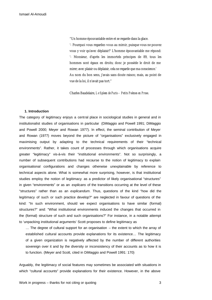"Un homme épouvantable entre et se regarde dans la glace.

'- Pourquoi vous regardez-vous au miroir, puisque vous ne pouvez vous y voir qu'avec déplaisir?' L'homme épouvantable me répond: '- Monsieur, d'après les immortels principes de 89, tous les hommes sont égaux en droits; donc je possède le droit de me mirer; avec plaisir ou déplaisir, cela ne regarde que ma conscience.' Au nom du bon sens, j'avais sans doute raison; mais, au point de vue de la loi, il n'avait pas tort."

Charles Baudelaire, *Le Spleen de Paris – Petits Poëmes en Prose*.

#### **1. Introduction**

The category of legitimacy enjoys a central place in sociological studies in general and in institutionalist studies of organisations in particular (DiMaggio and Powell 1991; DiMaggio and Powell 2000; Meyer and Rowan 1977). In effect, the seminal contribution of Meyer and Rowan (1977) moves beyond the picture of "organisations" exclusively engaged in maximising output by adapting to the technical requirements of their "technical environments". Rather, it takes count of processes through which organisations acquire greater "legitimacy" vis-à-vis their "institutional environments". Not so surprisingly, a number of subsequent contributions had recourse to the notion of legitimacy to explain organisational configurations and changes otherwise unexplainable by reference to technical aspects alone. What is somewhat more surprising, however, is that institutional studies employ the notion of legitimacy as a predictor of likely organisational "structures" in given "environments" or as an *explicans* of the transitions occurring at the level of these "structures" rather than as an *explicandum*. Thus, questions of the kind "how did the legitimacy of such or such practice develop?" are neglected in favour of questions of the kind: "In such environment, should we expect organisations to have similar (formal) structures?" and: "What institutional environments induced the changes that occurred in the (formal) structure of such and such organisations?" For instance, in a notable attempt to 'unpacking institutional arguments' Scott proposes to define legitimacy as

… The degree of cultural support for an organisation – the extent to which the array of established cultural accounts provide explanations for its existence… The legitimacy of a given organization is negatively affected by the number of different authorities sovereign over it and by the diversity or inconsistency of their accounts as to how it is to function. (Meyer and Scott, cited in DiMaggio and Powell 1991: 170)

Arguably, the legitimacy of social features may sometimes be associated with situations in which "cultural accounts" provide explanations for their existence. However, in the above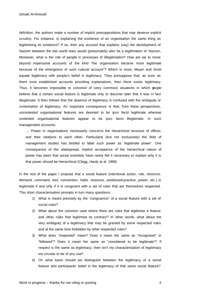definition, the authors make a number of implicit presuppositions that may deserve explicit scrutiny. For instance, is explaining the existence of an organisation the same thing as legitimising its existence? If so, then any account that explains (say) the development of Nazism between the two world wars would (presumably) also be a legitimation of Nazism. Moreover, what is the role of people in processes of il/legitimation? How are we to move beyond impersonal accounts of the kind "the organisation became more legitimate because of the emergence of such cultural account"? Which is more, Meyer and Scott equate legitimacy with people's belief in legitimacy. They presuppose that, as soon as there exist established accounts providing explanations, then there exists legitimacy. Thus, it becomes impossible to conceive of (very common) situations in which people believe that a certain social feature is legitimate only to discover later that it was in fact illegitimate. It then follows that the absence of legitimacy is confused with the ambiguity or contestation of legitimacy. An important consequence is that, from these perspectives, uncontested organisational features are deemed to be *ipso facto* legitimate whereas contested organisational features appear to be *ipso facto* illegitimate. In such managerialist accounts:

… Power in organisations necessarily concerns the hierarchical structure of offices and their relations to each other. Particularly (but not exclusively) the field of management studies has tended to label such power as 'legitimate power'. One consequence of the widespread, implicit acceptance of the hierarchical nature of power has been that social scientists have rarely felt it necessary to explain why it is that power should be hierarchical (Clegg, Hardy et al. 1996)

In the rest of the paper I propose that a social feature (intentional action, rule, resource, demand, command, tool, convention, habit, resource, positioned-practice, power, etc.) is legitimate if and only if it is congruent with a set of rules that are themselves respected. This short characterisation prompts in turn many questions:

- 1) What is meant precisely by the "congruence" of a social feature with a set of social rules?
- 2) What about the common case where there are rules that legitimise a feature and other rules that legitimise its contrary? In other words, what about the very ambiguity of a legitimacy that may be granted by some respected rules and at the same time forbidden by other respected rules?
- 3) What does "respected" mean? Does it mean the same as "recognised" or "followed"? Does it mean the same as "considered to be legitimate"? If respect is the same as legitimacy, then isn't my characterisation of legitimacy too circular to be of any use?
- 4) On what basis should we distinguish between the legitimacy of a social feature and participants' belief in the legitimacy of that same social feature?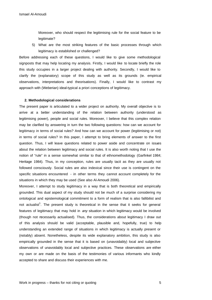Moreover, who should respect the legitimising rule for the social feature to be legitimate?

5) What are the most striking features of the basic processes through which legitimacy is established or challenged?

Before addressing each of these questions, I would like to give some methodological signposts that may help locating my analysis. Firstly, I would like to locate briefly the role this study occupies in a larger project dealing with authority. Secondly, I would like to clarify the (explanatory) scope of this study as well as its grounds (ie. empirical observations, interpretations and theorisations). Finally, I would like to contrast my approach with (Weberian) ideal-typical a priori conceptions of legitimacy.

#### **2. Methodological considerations**

The present paper is articulated to a wider project on authority. My overall objective is to arrive at a better understanding of the relation between authority (understood as legitimising power), people and social rules. Moreover, I believe that this complex relation may be clarified by answering in turn the two following questions: how can we account for legitimacy in terms of social rules? And how can we account for power (legitimising or not) in terms of social rules? In this paper, I attempt to bring elements of answer to the first question. Thus, I will leave questions related to power aside and concentrate on issues about the relation between legitimacy and social rules. It is also worth noting that I use the notion of "rule" in a sense somewhat similar to that of ethnomethodology (Garfinkel 1984; Heritage 1984). Thus, in my conception, rules are usually tacit as they are usually not followed consciously. Social rules are also indexical since their use is contingent on the specific situations encountered - in other terms they cannot account completely for the situations in which they may be used (See also Al-Amoudi 2006).

Moreover, I attempt to study legitimacy in a way that is both theoretical and empirically grounded. This dual aspect of my study should not be much of a surprise considering my ontological and epistemological commitment to a form of realism that is also fallibilist and not actualist<sup>1</sup>. The present study is theoretical in the sense that it seeks for general features of legitimacy that may hold in *any* situation in which legitimacy would be involved (though not necessarily actualised). Thus, the considerations about legitimacy I draw out of this analysis should be valid (acceptable, plausible and, hopefully, true) to help understanding an extended range of situations in which legitimacy is actually present or (notably) absent. Nonetheless, despite its wide explanatory ambition, this study is also empirically grounded in the sense that it is based on (unavoidably) local and subjective observations of unavoidably local and subjective practices. These observations are either my own or are made on the basis of the testimonies of various informants who kindly accepted to share and discuss their experiences with me.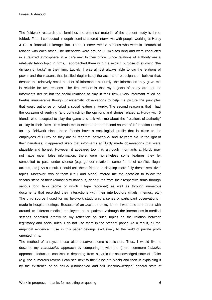The fieldwork research that furnishes the empirical material of the present study is threefolded. First, I conducted in-depth semi-structured interviews with people working at Hurdy & Co. a financial brokerage firm. There, I interviewed 8 persons who were in hierarchical relation with each other. The interviews were around 90 minutes long and were conducted in a relaxed atmosphere in a *café* next to their office. Since relations of authority are a relatively taboo topic in firms, I approached them with the explicit purpose of studying "the division of tasks" in their firm. Luckily, I was almost always able to dig the relations of power and the reasons that justified (legitimised) the actions of participants. I believe that, despite the relatively small number of informants at Hurdy, the information they gave me is reliable for two reasons. The first reason is that my objects of study are not the informants *per se* but the social relations at play in their firm. Every informant relied on her/his innumerable though unsystematic observations to help me picture the principles that would authorise or forbid a social feature in Hurdy. The second reason is that I had the occasion of verifying (and contrasting) the opinions and stories related at Hurdy with 5 friends who accepted to play the game and talk with me about the "relations of authority" at play in their firms. This leads me to expand on the second source of information I used for my fieldwork since these friends have a sociological profile that is close to the employees of Hurdy as they are all "cadres"<sup>2</sup> between 27 and 32 years old. In the light of their narratives, it appeared likely that informants at Hurdy made observations that were plausible and honest. However, it appeared too that, although informants at Hurdy may not have given false information, there were nonetheless some features they felt compelled to pass under silence (e.g. gender relations, some forms of conflict, illegal actions, etc.) As a result, I could ask these friends to develop more fully these "sensitive" topics. Moreover, two of them (Paul and Marie) offered me the occasion to follow the various steps of their (almost simultaneous) departures from their respective firms through various long talks (some of which I tape recorded) as well as through numerous documents that recorded their interactions with their interlocutors (mails, memos, etc.) The third source I used for my fieldwork study was a series of participant observations I made in hospital settings. Because of an accident to my knee, I was able to interact with around 15 different medical employees as a "patient". Although the interactions in medical settings benefited greatly to my reflection on such topics as the relation between legitimacy and social rules, I do not use them in the present paper. As a result, all the empirical evidence I use in this paper belongs exclusively to the world of private profitoriented firms.

The method of analysis I use also deserves some clarification. Thus, I would like to describe my *retroductive* approach by comparing it with the (more common) *inductive* approach. Induction consists in departing from a particular acknowledged state of affairs (e.g. the numerous ravens I can see next to the Seine are black) and then in explaining it by the existence of an *actual* (unobserved and still unacknowledged) general state of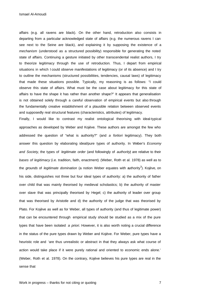affairs (e.g. all ravens are black). On the other hand, retroduction also consists in departing from a particular acknowledged state of affairs (e.g. the numerous ravens I can see next to the Seine are black), and explaining it by supposing the existence of a *mechanism* (understood as a structured possibility) responsible for generating the noted state of affairs. Continuing a gesture initiated by other transcendental realist authors, I try to theorize legitimacy through the use of retroduction*.* Thus, I depart from empirical situations in which I could observe manifestations of legitimacy (or of its absence) and I try to outline the mechanisms (structured possibilities, tendencies, causal laws) of legitimacy that made these situations possible. Typically, my reasoning is as follows: "I could observe this state of affairs. What must be the case about legitimacy for this state of affairs to have the shape it has rather than another shape?" It appears that generalisation is not obtained solely through a careful observation of empirical events but also through the fundamentally creative establishment of a plausible relation between observed events and supposedly real structural features (characteristics, attributes) of legitimacy.

Finally, I would like to contrast my realist ontological theorising with ideal-typical approaches as developed by Weber and Kojève. These authors are amongst the few who addressed the question of "what is authority?" (and *a fortiori* legitimacy). They both answer this question by elaborating ideal/pure types of authority. In Weber's *Economy and Society*, the types of *legitimate order* (and followingly of *authority*) are relative to their *bases of legitimacy* (i.e. tradition, faith, enactment) (Weber, Roth et al. 1978) as well as to the *grounds* of *legitimate domination* (a notion Weber equates with authority<sup>3</sup>). Kojève, on his side, distinguishes not three but four ideal types of authority: a) the authority of father over child that was mainly theorised by medieval scholastics; b) the authority of master over slave that was principally theorised by Hegel; c) the authority of leader over group that was theorised by Aristotle and d) the authority of the judge that was theorised by Plato. For Kojève as well as for Weber, all types of authority (and thus of legitimate power) that can be encountered through empirical study should be studied as a mix of the pure types that have been isolated *a priori.* However, it is also worth noting a crucial difference in the status of the pure types drawn by Weber and Kojève. For Weber, pure types have a heuristic role and 'are thus unrealistic or abstract in that they always ask what course of action would take place if it were purely rational and oriented to economic ends alone.' (Weber, Roth et al. 1978). On the contrary, Kojève believes his pure types are real in the sense that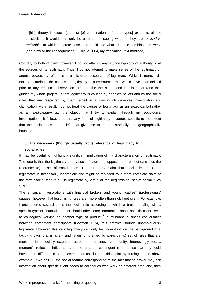if [his] theory is exact, [the] list [of combinations of pure types] exhausts all the possibilities. It would then only be a matter of seeing whether they are *realised* or *realisable*. In which concrete case, one could see what all these combinations *mean* (and draw all the consequences). (Kojève 2004, my translation, text modified)

Contrary to both of them however, I do not attempt any *a priori* typology of authority or of the sources of its legitimacy. Thus, I do not attempt to make sense of the legitimacy of agents' powers by reference to a mix of pure sources of legitimacy. Which is more, I do not try to attribute the causes of legitimacy to pure sources that would have been defined prior to any empirical observation<sup>4</sup>. Rather, the thesis I defend in this paper (and that guides my whole project) is that legitimacy is caused by people's beliefs and by the social rules that are respected by them, albeit in a way which deserves investigation and clarification. As a result, I do not treat the causes of legitimacy as an *explicans* but rather as an *explicandum* viz. the object that I try to explain through my sociological investigations. It follows thus that any form of legitimacy is context specific to the extent that the social rules and beliefs that give rise to it are historically and geographically bounded.

### **3. The necessary (though usually tacit) reference of legitimacy to social rules**

It may be useful to highlight a significant implication of my characterisation of legitimacy. The idea is that the legitimacy of any social feature presupposes the respect (and thus the reference to) a set of social rules. Therefore, any claim that "social feature SF is legitimate" is necessarily incomplete and might be replaced by a more complete claim of the form "social feature SF is legitimate by virtue of the (legitimising) set of social rules SRL".

The empirical investigations with financial brokers and young "cadres" (professionals) suggest however that legitimising rules are, more often than not, kept silent. For example, I encountered several times the social rule according to which a broker dealing with a specific type of financial product should offer some information about specific client needs to colleagues working on another type of product.<sup>5</sup> In mundane business conversation between competent participants (Goffman 1974) this practice sounds unambiguously legitimate. However, this very legitimacy can only be understood on the background of a tacitly known (that is, silent and taken for granted by participants) set of rules that are more or less socially extended across the business community. Interestingly too, a moment's reflection indicates that these rules are contingent in the sense that they could have been different to some extent. Let us illustrate this point by turning to the above example. If we call SF the social feature corresponding to the fact that "a broker may ask information about specific client needs to colleagues who work on different products", then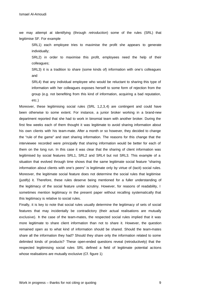we may attempt at identifying (through *retroduction*) some of the rules (SRL) that legitimise SF. For example

SRL1) each employee tries to maximise the profit she appears to generate individually;

SRL2) in order to maximise this profit, employees need the help of their colleagues;

SRL3) it is a tradition to share (some kinds of) information with one's colleagues and

SRL4) that any individual employee who would be reluctant to sharing this type of information with her colleagues exposes herself to some form of rejection from the group (e.g. not benefiting from this kind of information, acquiring a bad reputation, etc.)

Moreover, these legitimising social rules (SRL 1,2,3,4) are contingent and could have been otherwise to some extent. For instance, a junior broker working in a brand-new department reported that she had to work in binomial team with another broker. During the first few weeks each of them thought it was legitimate to avoid sharing information about his own clients with his team-mate. After a month or so however, they decided to change the "rule of the game" and start sharing information. The reasons for this change that the interviewee recorded were principally that sharing information would be better for each of them on the long run. In this case it was clear that the sharing of client information was legitimised by social features SRL1, SRL2 and SRL4 but not SRL3. This example of a situation that evolved through time shows that the same legitimate social feature "sharing information about clients with one's peers" is legitimate only by virtue of (tacit) social rules. Moreover, the legitimate social feature does not determine the social rules that legitimise (justify) it. Therefore, these rules deserve being mentioned for a fuller understanding of the legitimacy of the social feature under scrutiny. However, for reasons of readability, I sometimes mention legitimacy in the present paper without recalling systematically that this legitimacy is relative to social rules.

Finally, it is key to note that social rules usually determine the legitimacy of sets of social features that may incidentally be contradictory (their actual realisations are mutually exclusive). In the case of the team-mates, the respected social rules implied that it was more legitimate to share client information than not to share it. However, the question remained open as to what kind of information should be shared. Should the team-mates share all the information they had? Should they share only the information related to some delimited kinds of products? These open-ended questions reveal (retroductively) that the respected legitimising social rules SRL defined a field of legitimate potential actions whose realisations are mutually exclusive (Cf. figure 1)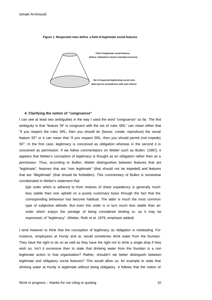

**Figure 1. Respected rules define a field of legitimate social features**

#### **4. Clarifying the notion of "congruence"**

I can see at least two ambiguities in the way I used the word "congruence" so far. The first ambiguity is that "feature SF is congruent with the set of rules SRL" can mean either that "if you respect the rules SRL, then you should do (favour, create, reproduce) the social feature SF" or it can mean that "if you respect SRL, then you should permit (not impede) SF". In the first case, legitimacy is conceived as obligation whereas in the second it is conceived as permission. If we follow commentators on Weber such as Bullen (1987), it appears that Weber's conception of legitimacy is thought as an obligation rather than as a permission. Thus, according to Bullen, Weber distinguishes between features that are "legitimate", features that are "non legitimate" (that should not be impeded) and features that are "illegitimate" (that should be forbidden). This commentary of Bullen is somewhat corroborated in Weber's statement that

[a]n order which is adhered to from motives of sheer expediency is generally much less stable than one upheld on a purely customary basis through the fact that the corresponding behaviour has become habitual. The latter is much the most common type of subjective attitude. But even this order is in turn much less stable than an order which enjoys the prestige of being considered binding or, as it may be expressed, of "legitimacy". (Weber, Roth et al. 1978, emphasis added)

I tend however to think that the conception of legitimacy as obligation is misleading. For instance, employees at Hurdy and  $\infty$ . would sometimes drink water from the fountain. They have the right to do so as well as they have the right not to drink a single drop if they wish so. Isn't it excessive then to state that drinking water from the fountain is a non legitimate action in that organisation? Rather, shouldn't we better distinguish between legitimate and obligatory social features? This would allow us, for example to state that drinking water at Hurdy is legitimate without being obligatory. It follows that the notion of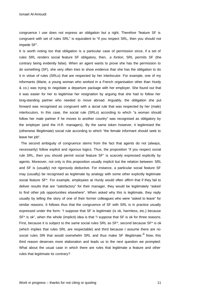congruence I use does not express an obligation but a right. Therefore "feature SF is congruent with set of rules SRL" is equivalent to "if you respect SRL, then you should not impede SF".

It is worth noting too that obligation is a particular case of permission since, if a set of rules SRL renders social feature SF obligatory, then, *a fortiori*, SRL permits SF (the contrary being evidently false). When an agent wants to prove she has the permission to do something (SF), she very often tries to show evidence that she has the obligation to do it in virtue of rules (SRLo) that are respected by her interlocutor. For example, one of my informants (Marie, a young woman who worked in a French organisation other than Hurdy & co.) was trying to negotiate a departure package with her employer. She found out that it was easier for her to legitimise her resignation by arguing that she had to follow her long-standing partner who needed to move abroad. Arguably, the obligation she put forward was recognised as congruent with a social rule that was respected by her (male) interlocutors. In this case, the social rule (SRLo) according to which "a woman should follow her male partner if he moves to another country" was recognised as obligatory by the employer (and the H.R. managers). By the same token however, it legitimised the (otherwise illegitimate) social rule according to which "the female informant should seek to leave her job".

 The second ambiguity of congruence stems from the fact that agents do not (always, necessarily) follow explicit and rigorous logics. Thus, the proposition "if you respect social rule SRL, then you should permit social feature SF" is scarcely expressed explicitly by agents. Moreover, not only is this proposition usually implicit but the relation between SRL and SF is (usually) not rigorously deductive. For instance, a particular social feature SF may (usually) be recognised as legitimate by analogy with some other explicitly legitimate social feature SF\*. For example, employees at Hurdy would often affirm that if they fail to deliver results that are "satisfactory" for their manager, they would be legitimately "asked to find other job opportunities elsewhere". When asked why this is legitimate, they reply usually by telling the story of one of their former colleagues who were "asked to leave" for similar reasons. It follows thus that the congruence of SF with SRL is in practice usually expressed under the form: "I suppose that SF is legitimate (is ok, harmless, etc.) because SF\* is ok", when the whole (implicit) idea is that "I suppose that SF is ok for three reasons. First, because it is subject to the same social rules SRL as SF\*, second because SF\* is ok (which implies that rules SRL are respectable) and third because I assume there are no social rules SRi that would overwhelm SRL and thus make SF illegitimate.<sup>,6</sup> Now, this third reason deserves more elaboration and leads us to the next question we prompted: What about the usual case in which there are rules that legitimate a feature and other rules that legitimate its contrary?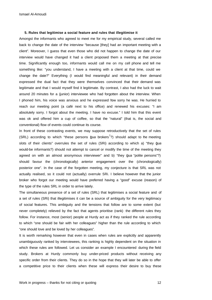#### **5. Rules that legitimise a social feature and rules that illegitimise it**

Amongst the informants who agreed to meet me for my empirical study, several called me back to change the date of the interview "because [they] had an important meeting with a client". Moreover, I guess that even those who did not happen to change the date of our interview would have changed it had a client proposed them a meeting at that precise time. Significantly enough too, informants would call me on my cell phone and tell me something like: "you understand, I have a meeting with a client at that time, could we change the date?" Everything (I would find meaningful and relevant) in their demand expressed the dual fact that they were themselves convinced that their demand was legitimate and that I would myself find it legitimate. By contrast, I also had the luck to wait around 20 minutes for a (junior) interviewee who had forgotten about the interview. When I phoned him, his voice was anxious and he expressed how sorry he was. He hurried to reach our meeting point (a café next to his office) and renewed his excuses: "I am absolutely sorry. I forgot about the meeting. I have no excuse." I told him that this event was ok and offered him a cup of coffee, so that the "natural" (that is, the social and conventional) flow of events could continue its course.

In front of these contrasting events, we may suppose retroductively that the set of rules (SRL) according to which "these persons *(qua* brokers<sup>7</sup>?) should adapt to the meeting slots of their clients" overrules the set of rules (SRi) according to which a) "they (*qua* would-be informants?) should not attempt to cancel or modify the time of the meeting they agreed on with an almost anonymous interviewer" and b) "they (*qua* "polite persons"?) should favour the (chronologically) anterior engagement over the (chronologically) posterior one". In the case of the forgotten meeting, my conjecture is that SRL was not actually realised, so it could not (actually) overrule SRi. I believe however that the junior broker who forgot our meeting would have preferred having a "good" excuse (reason) of the type of the rules SRL in order to arrive lately.

The simultaneous presence of a set of rules (SRL) that legitimises a social feature and of a set of rules (SRi) that illegitimises it can be a source of ambiguity for the very legitimacy of social features. This ambiguity and the tensions that follow are to some extent (but never completely) relieved by the fact that agents prioritise (rank) the different rules they follow. For instance, most (senior) people at Hurdy act as if they ranked the rule according to which "one should be fair with her colleagues" higher than the rule according to which "one should love and be loved by her colleagues".

It is worth remarking however that even in cases when rules are explicitly and apparently unambiguously ranked by interviewees, this ranking is highly dependent on the situation in which these rules are followed. Let us consider an example I encountered during the field study. Brokers at Hurdy commonly buy under-priced products without receiving any specific order from their clients. They do so in the hope that they will later be able to offer a competitive price to their clients when these will express their desire to buy these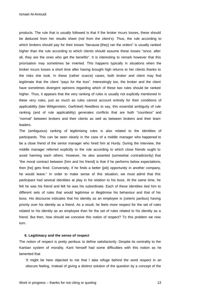products. The rule that is usually followed is that if the broker incurs losses, these should be deduced from her results sheet (not from the client's). Thus, the rule according to which brokers should pay for their losses "because [they] ran the orders" is usually ranked higher than the rule according to which clients should assume these losses "since, after all, they are the ones who get the benefits". It is interesting to remark however that this priorisation may sometimes be inverted. This happens typically in situations when the broker incurs losses a short time after having brought high returns to her clients thanks to the risks she took. In these (rather scarce) cases, both broker and client may find legitimate that the client "pays for the loss". Interestingly too, the broker and the client have sometimes divergent opinions regarding which of these two rules should be ranked higher. Thus, it appears that the very ranking of rules is usually not explicitly mentioned in these very rules, just as much as rules cannot account entirely for their conditions of applicability (late Wittgenstein, Garfinkel) Needless to say, this essential ambiguity of rule ranking (and of rule applicability) generates conflicts that are both "countless" and "normal" between brokers and their clients as well as between brokers and their team leaders.

The (ambiguous) ranking of legitimising rules is also related to the identities of participants. This can be seen clearly in the case of a middle manager who happened to be a close friend of the senior manager who hired him at Hurdy. During the interview, the middle manager referred explicitly to the rule according to which close friends ought to avoid harming each others. However, he also asserted (somewhat contradictorily) that "the moral contract between [him and his friend] is that if he performs below expectations, then [he] gets fired. Conversely, if he finds a better [job] opportunity in another company, he would leave." In order to make sense of this situation, we must admit that this participant had several identities at play in his relation to his boss. At the same time, he felt he was his friend and felt he was his subordinate. Each of these identities tied him to different sets of rules that would legitimise or illegitimise his behaviour and that of his boss. His discourse indicates that his identity as an employee is (ceteris paribus) having priority over his identity as a friend. As a result, he feels more respect for the set of rules related to his identity as an employee than for the set of rules related to his identity as a friend. But then, how should we conceive this notion of respect? To this problem we now turn.

#### **6. Legitimacy and the sense of respect**

The notion of respect is pretty perilous to define satisfactorily. Despite its centrality to the Kantian system of morality, Kant himself had some difficulties with this notion as he lamented that

'It might be here objected to me that I take refuge behind the word respect in an obscure feeling, instead of giving a distinct solution of the question by a concept of the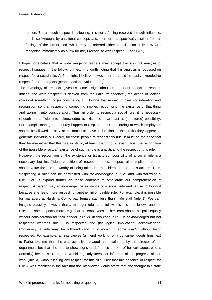reason. But although respect is a feeling, it is not a feeling received through influence, but is self-wrought by a rational concept, and, therefore, is specifically distinct from all feelings of the former kind, which may be referred either to inclination or fear, What I recognise immediately as a law for me, I recognise with respect.' (Kant 1785)

I hope nonetheless that a wide range of readers may accept the succinct analysis of respect I suggest in the following lines. It is worth noting that this analysis is focussed on respect for a social rule. At first sight, I believe however that it could be easily extended to respect for other objects (people, actions, values, etc.)<sup>8</sup>

The etymology of "respect" gives us some insight about an important aspect of respect. Indeed, the word "respect" is derived from the Latin "re-spectare", the action of looking (back) at something, of (re)considering it. It follows that respect implies consideration and recognition so that respecting something implies recognising the existence of that thing and taking it into consideration. Thus, in order to respect a social rule, it is necessary (though not sufficient) to acknowledge its existence or at least its (structured) possibility. For example managers at Hurdy happen to respect the rule according to which employees should be allowed to stay or be forced to leave in function of the profits they appear to generate individually. Clearly, for these people to respect this rule, it must be the case that they believe either that this rule exists or, at least, that it could exist. Thus, the recognition of the (possible or actual) existence of such a rule is analytical to the respect of this rule.

However, the recognition of the existence or (structured) possibility of a social rule is a necessary but insufficient condition of respect. Indeed, respect also implies that one should value the rule as worthy of being taken into consideration into one's actions. Thus, "respecting a rule" can be contrasted with "acknowledging a rule" and with "following a rule". Let us expand further on these contrasts to ameliorate our comprehension of respect. A person may acknowledge the existence of a social rule and refuse to follow it because she feels more respect for another incompatible rule. For example, it is possible for managers at Hurdy & Co. to pay female staff less than male staff (rule 1). We can imagine plausibly however that a manager refuses to follow this rule and follows another rule that she respects more, e.g. that all employees in her team should be paid equally without consideration for their gender (rule 2). In this case, rule 1 is acknowledged but not respected whereas rule 2 is respected and (by logical implication) acknowledged. Conversely, a rule may be followed (and thus known in some way $^{9}$ ) without being respected. For example, an interviewee (a friend working for a consumer goods firm next to Paris) told me that she was actually managed and evaluated by the director of the department but that she had to show signs of deference to one of her colleagues who is (formally) her boss. Thus, she would regularly keep her informed of the progress of her work (rule A) without feeling any respect for this rule. I felt that this absence of respect for rule A was manifest in the fact that the interviewee would affirm that she thought this state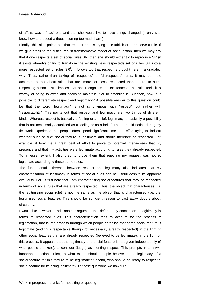of affairs was a "bad" one and that she would like to have things changed (if only she knew how to proceed without incurring too much harm).

Finally, this also points out that respect entails trying to establish or to preserve a rule. If we give credit to the critical realist transformative model of social action, then we may say that if one respects a set of social rules SR, then she should either try to reproduce SR (if it exists already) or try to transform the existing (less respected) set of rules SR into a more respected set of rules  $SR<sup>+</sup>$ . It follows too that respect is thought here in a gradated way. Thus, rather than talking of "respected" or "disrespected" rules, it may be more accurate to talk about rules that are "more" or "less" respected than others. In sum, respecting a social rule implies that one recognizes the existence of this rule, feels it is worthy of being followed and seeks to maintain it or to establish it. But then, how is it possible to differentiate respect and legitimacy? A possible answer to this question could be that the word "legitimacy" is not synonymous with "respect" but rather with "respectability". This points out that respect and legitimacy are two things of different kinds. Whereas respect is basically a feeling or a belief, legitimacy is basically a possibility that is not necessarily actualised as a feeling or as a belief. Thus, I could notice during my fieldwork experience that people often spend significant time and effort trying to find out whether such or such social feature is legitimate and should therefore be respected. For example, it took me a great deal of effort to prove to potential interviewees that my presence and that my activities were legitimate according to rules they already respected. To a lesser extent, I also tried to prove them that rejecting my request was not so legitimate according to these same rules.

The fundamental difference between respect and legitimacy also indicates that my characterisation of legitimacy in terms of social rules can be useful despite its apparent circularity. Let us first note that I am characterising social features that may be respected in terms of social rules that are already respected. Thus, the object that characterises (i.e. the legitimising social rule) is not the same as the object that is characterised (i.e. the legitimised social feature). This should be sufficient reason to cast away doubts about circularity.

I would like however to add another argument that defends my conception of legitimacy in terms of respected rules. This characterisation tries to account for the process of legitimation, that is, the process through which people establish that some social feature is legitimate (and thus respectable though not necessarily already respected) in the light of other social features that are already respected (believed to be legitimate). In the light of this process, it appears that the legitimacy of a social feature is not given independently of what people are *ready* to consider (judge) as meriting respect. This prompts in turn two important questions. First, to what extent should people believe in the legitimacy of a social feature for this feature to be legitimate? Second, who should be ready to respect a social feature for its being legitimate? To these questions we now turn.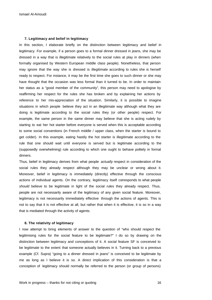#### **7. Legitimacy and belief in legitimacy**

In this section, I elaborate briefly on the distinction between legitimacy and belief in legitimacy. For example, if a person goes to a formal dinner dressed in jeans, she may be dressed in a way that is illegitimate relatively to the social rules at play in dinners (when formally organised by Western European middle class people). Nonetheless, that person may ignore that the way she is dressed is illegitimate according to rules she is herself ready to respect. For instance, it may be the first time she goes to such dinner or she may have thought that the occasion was less formal than it turned to be. In order to maintain her status as a "good member of the community", this person may need to apologise by reaffirming her respect for the rules she has broken and by explaining her actions by reference to her mis-appreciation of the situation. Similarly, it is possible to imagine situations in which people believe they act in an illegitimate way although what they are doing is legitimate according to the social rules they (or other people) respect. For example, the same person in the same dinner may believe that she is acting rudely by starting to eat her hot starter before everyone is served when this is acceptable according to some social conventions (in French middle / upper class, when the starter is bound to get colder). In this example, eating hastily the hot starter is illegitimate according to the rule that one should wait until everyone is served but is legitimate according to the (supposedly overwhelming) rule according to which one ought to behave politely in formal dinners.

Thus, belief in legitimacy derives from what people *actually* respect in consideration of the social rules they already respect although they may be unclear or wrong about it. Moreover, belief in legitimacy is immediately (directly) effective through the conscious actions of individual agents. On the contrary, legitimacy itself corresponds to what people *should* believe to be legitimate in light of the social rules they already respect. Thus, people are not necessarily aware of the legitimacy of any given social feature. Moreover, legitimacy is not necessarily immediately effective through the actions of agents. This is not to say that it is not effective at all, but rather that when it is effective, it is so in a way that is mediated through the activity of agents.

#### **8. The relativity of legitimacy**

I now attempt to bring elements of answer to the question of "who should respect the legitimising rules for the social feature to be legitimate?" I do so by drawing on the distinction between legitimacy and conceptions of it. A social feature SF is conceived to be legitimate to the extent that someone actually believes in it. Turning back to a previous example (Cf. Supra) "going to a dinner dressed in jeans" is conceived to be legitimate by me as long as I believe it is so. A direct implication of this consideration is that a conception of legitimacy should normally be referred to the person (or group of persons)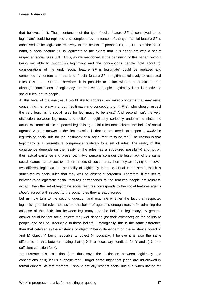that believes in it. Thus, sentences of the type "social feature SF is conceived to be legitimate" could be replaced and completed by sentences of the type "social feature SF is conceived to be legitimate relatively to the beliefs of persons P1, …, Pn". On the other hand, a social feature SF is legitimate to the extent that it is congruent with a set of respected social rules SRL. Thus, as we mentioned at the beginning of this paper (without being yet able to distinguish legitimacy and the conceptions people hold about it), considerations of the kind: "social feature SF is legitimate" could be replaced and completed by sentences of the kind: "social feature SF is legitimate relatively to respected rules SRL1, …, SRLn". Therefore, it is possible to affirm without contradiction that, although conceptions of legitimacy are relative to people, legitimacy itself is relative to social rules, not to people.

At this level of the analysis, I would like to address two linked concerns that may arise concerning the relativity of both legitimacy and conceptions of it. First, who should respect the very legitimising social rules for legitimacy to be exist? And second, isn't the very distinction between legitimacy and belief in legitimacy seriously undermined since the actual existence of the respected legitimising social rules necessitates the belief of social agents? A short answer to the first question is that no one needs to respect *actually* the legitimising social rule for the legitimacy of a social feature to be real! The reason is that legitimacy is *in essentia* a congruence relatively to a set of rules. The reality of this congruence depends on the reality of the rules (as a structured possibility) and not on their actual existence and presence. If two persons consider the legitimacy of the same social feature but respect two different sets of social rules, then they are trying to uncover two different legitimacies. The reality of legitimacy is hence virtual in the sense that it is structured by social rules that may well be absent or forgotten. Therefore, if the set of believed-to-be-legitimate social features corresponds to the features people *are ready to accept*, then the set of legitimate social features corresponds to the social features agents *should accept* with respect to the social rules they already accept.

Let us now turn to the second question and examine whether the fact that respected legitimising social rules necessitate the belief of agents is enough reason for admitting the collapse of the distinction between legitimacy and the belief in legitimacy? A general answer could be that social objects may well depend (for their existence) on the beliefs of people and still be irreducible to these beliefs. Ontologically, this is the same difference than that between a) the existence of object Y being dependent on the existence object X and b) object Y being reducible to object X. Logically, I believe it is also the same difference as that between stating that a)  $X$  is a necessary condition for Y and b)  $X$  is a sufficient condition for Y.

To illustrate this distinction (and thus save the distinction between legitimacy and conceptions of it) let us suppose that I forget some night that jeans are not allowed in formal dinners. At that moment, I should actually respect social rule SR "when invited for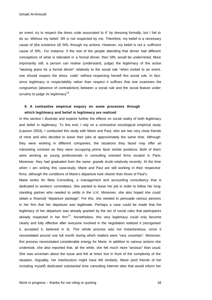an event, try to respect the dress code associated to it" by dressing formally, but I fail to do so. Without my belief, SR is not respected by me. Therefore, my belief is a necessary cause of (the existence of) SRL through my actions. However, my belief is not a *sufficient* cause of SRL. For instance, if the rest of the people attending that dinner had different conceptions of what is tolerated in a formal dinner, then SRL would be undermined. More importantly still, a person can realise (understand, judge) the legitimacy of the action "wearing jeans for a formal dinner" relatively to the social rule "when invited to an event, one should respect the dress code" without respecting herself this social rule. In fact, since legitimacy is respectability rather than respect it suffices that one examines the congruence (absence of contradiction) between a social rule and the social feature under scrutiny to judge its legitimacy $^{10}$ .

## **9. A contrastive empirical enquiry on some processes through which legitimacy and belief in legitimacy are realized**

In this section I illustrate and explore further the effects on social reality of both legitimacy and belief in legitimacy. To this end, I rely on a contrastive sociological empirical study (Lawson 2003). I conducted this study with Marie and Paul, who are two very close friends of mine and who decided to leave their jobs at approximately the same time. Although they were working in different companies, the situations they faced may offer an interesting contrast as they were occupying *prima facie* similar positions. Both of them were working as young professionals in consulting oriented firms located in Paris. Moreover, they had graduated from the same *grande école* relatively recently. At the time when I am writing this case-study, Marie and Paul are still working in their respective firms, although the conditions of Marie's departure look clearer than those of Paul's.

Marie works for Beta Consulting, a management and accounting consultancy that is dedicated to workers' committees. She wanted to leave her job in order to follow her longstanding partner who needed to settle in the U.K. Moreover, she also hoped she could obtain a financial "departure package". For this, she needed to persuade various persons in her firm that her departure was legitimate. Perhaps a case could be made that the legitimacy of her departure was already granted by the set of social rules that participants already respected in her firm<sup>11</sup>. Nonetheless, this very legitimacy could only become clearly and fully effective after everyone involved in the negotiation realized it (recognised it, accepted it, believed in it). This whole process was not instantaneous, since it necessitated around one full month during which matters were "very uncertain". Moreover, this process necessitated considerable energy for Marie. In addition to various actions she undertook, she also reported that, all the while, she felt much more "anxious" than usual. She was uncertain about the issue and felt at times lost in front of the complexity of the situation. Arguably, her interlocutors might have felt similarly. Marie (and friends of her including myself) dedicated substantial time consulting Internet sites that would inform her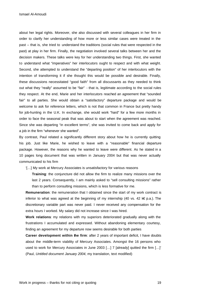about her legal rights. Moreover, she also discussed with several colleagues in her firm in order to clarify her understanding of how more or less similar cases were treated in the past – that is, she tried to understand the traditions (social rules that were respected in the past) at play in her firm. Finally, the negotiation involved several talks between her and the decision makers. These talks were key for her understanding two things. First, she wanted to understand what "imperatives" her interlocutors ought to respect and with what weight. Second, she attempted to understand the "departing position" of her interlocutors with the intention of transforming it if she thought this would be possible and desirable. Finally, these discussions necessitated "good faith" from all discussants as they needed to think out what they "really" assumed to be "fair" - that is, legitimate according to the social rules they respect. At the end, Marie and her interlocutors reached an agreement that "sounded fair" to all parties. She would obtain a "satisfactory" departure package and would be welcome to ask for reference letters, which is not that common in France but pretty handy for job-hunting in the U.K. In exchange, she would work "hard" for a few more months in order to face the seasonal peak that was about to start when the agreement was reached. Since she was departing "in excellent terms", she was invited to come back and apply for a job in the firm "whenever she wanted".

By contrast, Paul related a significantly different story about how he is currently quitting his job. Just like Marie, he wished to leave with a "reasonable" financial departure package. However, the reasons why he wanted to leave were different. As he stated in a 10 pages long document that was written in January 2004 but that was never actually communicated to his firm

'[…] My work at Mercury Associates is unsatisfactory for various reasons

**Training**: the conjuncture did not allow the firm to realize many missions over the last 2 years. Consequently, I am mainly asked to "sell consulting missions" rather than to perform consulting missions, which is less formative for me.

**Remuneration**: the remuneration that I obtained since the start of my work contract is inferior to what was agreed at the beginning of my internship (40 vs. 42  $k \in p.a.$ ). The discretionary variable part was never paid. I never received any compensation for the extra hours I worked. My salary did not increase since I was hired.

**Work relations**: my relations with my superiors deteriorated gradually along with the frustrations I accumulated and expressed. Without abandoning elementary courtesy, finding an agreement for my departure now seems desirable for both parties

**Career development within the firm**: after 2 years of important deficit, I have doubts about the middle-term viability of Mercury Associates. Amongst the 16 persons who used to work for Mercury Associates in June 2003 […] 7 [already] quitted the firm […]' (Paul, *Untitled document January 2004*, my translation, text modified)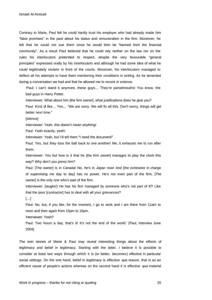Contrary to Marie, Paul felt he could hardly trust his employer who had already made him "false promises" in the past about his status and remuneration in the firm. Moreover, he felt that he could not sue them since he would then be "banned from the financial community". As a result Paul believed that he could rely neither on the law nor on the rules his interlocutors pretended to respect, despite the very favourable "general principles" expressed orally by his interlocutors and although he had some idea of what he could legitimately reclaim in front of the courts. Moreover, his interlocutors managed to deflect all his attempts to have them mentioning their conditions in writing. As he lamented during a conversation we had and that he allowed me to record *in extenso*

'Paul: I can't stand it anymore, these guys… They're parselmouths! You know, the bad guys in Harry Potter.

Interviewer: What about him [the firm owner], what justifications does he give you?

Paul: Kind of like… Yes… "We are sorry. We will fix all this. Don't worry, things will get better next time."

[silence]

Interviewer: Yeah, this doesn't mean anything!

Paul: Yeah exactly, yeah!

Interviewer: Yeah, but I'd tell them "I need the document!"

Paul: Yes, but they toss the ball back to one another! Me, it exhausts me to run after them.

Interviewer: Yes but how is it that he [the firm owner] manages to play the clock this way? Why don't you press him?

Paul: [The owner] is in Canada! No, he's in Japan now! And [the contractor in charge of supervising me day to day] has no power. He's not even part of the firm. [The owner] is the only one who's part of the firm.

Interviewer: (laughs!) He has his firm managed by someone who's not part of it?! Like that the poor [contractor] has to deal with all your grievances?

[…]

Paul: No, but, if you like, for the moment, I go to work and I am there from 11am to noon and then again from 15pm to 16pm.

Interviewer: Yeah?

Paul: Two hours a day, that's it! It's not the end of the world.' (Paul, Interview June 2004)

The twin stories of Marie & Paul may reveal interesting things about the effects of legitimacy and belief in legitimacy. Starting with the latter, I believe it is possible to consider at least two ways through which it is (or better, *becomes*) effective in particular social settings. On the one hand, belief in legitimacy is effective *qua* reason, that is as an efficient cause of people's actions whereas on the second hand it is effective *qua* material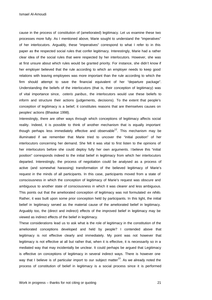cause in the process of constitution of (ameliorated) legitimacy. Let us examine these two processes more fully. As I mentioned above, Marie sought to understand the "imperatives" of her interlocutors. Arguably, these "imperatives" correspond to what I refer to in this paper as the respected social rules that confer legitimacy. Interestingly, Marie had a rather clear idea of the social rules that were respected by her interlocutors. However, she was at first unsure about which rules would be granted priority. For instance, she didn't know if her employer believed that the rule according to which an employer needs to keep good relations with leaving employees was more important than the rule according to which the firm should attempt to save the financial equivalent of her "departure package". Understanding the beliefs of the interlocutors (that is, their conception of legitimacy) was of vital importance since, *ceteris paribus*, the interlocutors would use these beliefs to inform and structure their actions (judgements, decisions). To the extent that people's conception of legitimacy is a belief, it constitutes reasons that are themselves causes on peoples' actions (Bhaskar 1998).

Interestingly, there are other ways through which conceptions of legitimacy affects social reality. Indeed, it is possible to think of another mechanism that is equally important though perhaps less immediately effective and observable<sup>12</sup>. This mechanism may be illuminated if we remember that Marie tried to uncover the "initial position" of her interlocutors concerning her demand. She felt it was vital to first listen to the opinions of her interlocutors before she could deploy fully her own arguments. I believe this "initial position" corresponds indeed to the initial belief in legitimacy from which her interlocutors departed. Interestingly, the process of negotiation could be analysed as a process of active (and somewhat harassing) transformation of the believed legitimacy of Marie's request in the minds of all participants. In this case, participants moved from a state of consciousness in which the conception of legitimacy of Marie's request was obscure and ambiguous to another state of consciousness in which it was clearer and less ambiguous. This points out that the ameliorated conception of legitimacy was not formulated *ex nihilo.* Rather, it was built upon some prior conception held by participants. In this light, the initial belief in legitimacy served as the material cause of the ameliorated belief in legitimacy. Arguably too, the (direct and indirect) effects of the improved belief in legitimacy may be viewed as indirect effects of the belief in legitimacy.

These considerations lead us to ask what is the role of legitimacy in the constitution of the ameliorated conceptions developed and held by people? I contended above that legitimacy is not effective clearly and immediately. My point was not however that legitimacy is not effective at all but rather that, when it is effective, it is necessarily so in a mediated way that may incidentally be unclear. It could perhaps be argued that Legitimacy is effective on conceptions of legitimacy in several indirect ways. There is however one way that I believe is of particular import to our subject matter<sup>13</sup>. As we already noted the process of constitution of belief in legitimacy is a social process since it is performed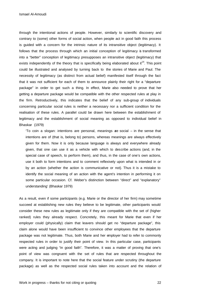through the intentional actions of people. However, similarly to scientific discovery and contrary to (some) other forms of social action, when people act in good faith this process is guided with a concern for the intrinsic nature of its intransitive object (legitimacy). It follows that the process through which an initial conception of legitimacy is transformed into a "better" conception of legitimacy presupposes an intransitive object (legitimacy) that exists independently of the theory that is specifically being elaborated about it<sup>14</sup>. This point could be illustrated and analysed by turning back to the stories of Marie and Paul. The necessity of legitimacy (as distinct from actual belief) manifested itself through the fact that it was not sufficient for each of them to announce plainly their right for a "departure package" in order to get such a thing. In effect, Marie also needed to prove that her getting a departure package would be compatible with the other respected rules at play in the firm. Retroductively, this indicates that the belief of any sub-group of individuals concerning particular social rules is neither a necessary nor a sufficient condition for the realisation of these rules. A parallel could be drawn here between the establishment of legitimacy and the establishment of social meaning as opposed to individual belief in Bhaskar (1979)

'To coin a slogan: intentions are personal, meanings are social  $-$  in the sense that intentions are of (that is, belong to) persons, whereas meanings are always effectively given for them. Now it is only because language is always and everywhere already given, that one can use it as a vehicle with which to describe actions (and, in the special case of speech, to perform them), and thus, in the case of one's own actions, use it both to form intentions and to comment reflexively upon what is intended in or by an action (whether the action is communicative or not). Thus it is a mistake to identify the social meaning of an action with the agent's intention in performing it on some particular occasion. Cf. Weber's distinction between "direct" and "explanatory" understanding' (Bhaskar 1979)

As a result, even if some participants (e.g. Marie or the director of her firm) may sometime succeed at establishing new rules they believe to be legitimate, other participants would consider these new rules as legitimate only if they are compatible with the set of (higher ranked) rules they already respect. Concretely, this meant for Marie that even if her employer could (physically) claim that leavers should get no "departure package", this claim alone would have been insufficient to convince other employees that the departure package was not legitimate. Thus, both Marie and her employer had to refer to commonly respected rules in order to justify their point of view. In this particular case, participants were acting and judging "in good faith". Therefore, it was a matter of proving that one's point of view was congruent with the set of rules that are respected throughout the company. It is important to note here that the social feature under scrutiny (the departure package) as well as the respected social rules taken into account and the relation of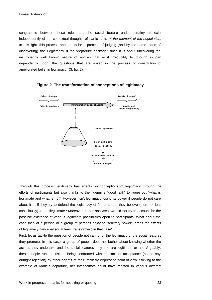congruence between these rules and the social feature under scrutiny all exist independently of the contextual thoughts of participants *at the moment of the negotiation*. In this light, this process appears to be a process of judging (and by the same token of discovering) the Legitimacy of the "departure package" since it is about uncovering the insufficiently well known nature of entities that exist irreducibly to (though in part dependently upon) the questions that are asked in the process of constitution of ameliorated belief in legitimacy (Cf. fig. 2).



**Figure 2. The transformation of conceptions of legitimacy**

Through this process, legitimacy has effects on conceptions of legitimacy through the efforts of participants but also thanks to their genuine "good faith" to figure out "what is legitimate and what is not". However, isn't legitimacy losing its power if people do not care about it or if they try to defend the legitimacy of features that they believe (more or less consciously) to be illegitimate? Moreover, in our analyses, we did not try to account for the possible existence of various legitimate possibilities open to participants. What about the case then of a person or a group of persons enjoying "arbitrary power", aren't the effects of legitimacy cancelled (or at least transformed) in that case?

First, let us tackle the question of people not caring for the legitimacy of the social features they promote. In this case, a group of people does not bother about knowing whether the actions they undertake and the social features they use are legitimate or not. Arguably, these people run the risk of being confronted with the lack of acceptance (not to say outright rejection) by other agents of their implicitly expressed point of view. Sticking to the example of Marie's departure, her interlocutors could have reacted in various different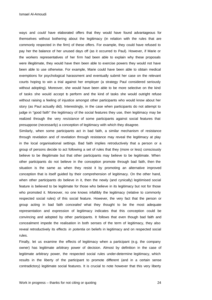ways and *could* have elaborated offers that they would have found advantageous for themselves without bothering about the legitimacy (in relation with the rules that are commonly respected in the firm) of these offers. For example, they could have refused to pay her the balance of her unused days off (as it occurred to Paul). However, if Marie or the workers representatives of her firm had been able to explain why these proposals were illegitimate, they would have then been able to exercise powers they would not have been able to use otherwise. For example, Marie could have been able to obtain medical exemptions for psychological harassment and eventually submit her case on the relevant courts hoping to win a trial against her employer (a strategy Paul considered seriously without adopting). Moreover, she would have been able to be more selective on the kind of tasks she would accept to perform and the kind of tasks she would outright refuse without raising a feeling of injustice amongst other participants who would know about her story (as Paul actually did). Interestingly, in the case when participants do not attempt to judge in "good faith" the legitimacy of the social features they use, then legitimacy may be realized through the very *resistance* of some participants against social features that presuppose (necessarily) a conception of legitimacy with which they disagree.

Similarly, when some participants act in bad faith, a similar mechanism of resistance through revelation and of revelation through resistance may reveal the legitimacy at play in the local organisational settings. Bad faith implies retroductively that a person or a group of persons decide to act following a set of rules that they (more or less) consciously believe to be illegitimate but that other participants may believe to be legitimate. When other participants do not believe in the conception promote through bad faith, then the situation is the same as when they resist it by promoting an alternative improved conception that is itself guided by their comprehension of legitimacy. On the other hand, when other participants do believe in it, then the newly (and cynically) legitimised social feature is believed to be legitimate for those who believe in its legitimacy but not for those who promoted it. Moreover, no one knows infallibly the legitimacy (relative to commonly respected social rules) of this social feature. However, the very fact that the person or group acting in bad faith *concealed* what they thought to be the most adequate representation and expression of legitimacy indicates that this conception could be convincing and adopted by other participants. It follows that even though bad faith and concealment impede the realisation in both senses of the term of legitimacy, they also reveal retroductively its effects *in potentia* on beliefs in legitimacy and on respected social rules.

Finally, let us examine the effects of legitimacy when a participant (e.g. the company owner) has legitimate arbitrary power of decision. Almost by definition in the case of legitimate arbitrary power, the respected social rules under-determine legitimacy, which results in the liberty of the participant to promote different (and in a certain sense contradictory) legitimate social features. It is crucial to note however that this very liberty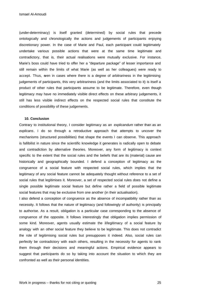(under-determinacy) is itself granted (determined) by social rules that precede ontologically and chronologically the actions and judgements of participants enjoying discretionary power. In the case of Marie and Paul, each participant could legitimately undertake various possible actions that were at the same time legitimate and contradictory, that is, their actual realisations were mutually exclusive. For instance, Marie's boss could have tried to offer her a "departure package" of lesser importance and still remain within the limits of what Marie (as well as her colleagues) were ready to accept. Thus, even in cases where there is a degree of arbitrariness in the legitimising judgements of participants, this very arbitrariness (and the limits associated to it) is itself a product of other rules that participants assume to be legitimate. Therefore, even though legitimacy may have no immediately visible direct effects on these arbitrary judgements, it still has less visible indirect effects on the respected social rules that constitute the conditions of possibility of these judgements.

#### **10. Conclusion**

Contrary to institutional theory, I consider legitimacy as an *explicandum* rather than as an *explicans*. I do so through a retroductive approach that attempts to uncover the mechanisms (structured possibilities) that shape the events I can observe. This approach is fallibilist in nature since the scientific knowledge it generates is radically open to debate and contradiction by alternative theories. Moreover, any form of legitimacy is context specific to the extent that the social rules and the beliefs that are its (material) cause are historically and geographically bounded. I defend a conception of legitimacy as the congruence of a social feature with respected social rules, which implies that the legitimacy of any social feature cannot be adequately thought without reference to a set of social rules that legitimises it. Moreover, a set of respected social rules does not define a single possible legitimate social feature but define rather a field of possible legitimate social features that may be exclusive from one another (in their actualisation).

I also defend a conception of congruence as the absence of incompatibility rather than as necessity. It follows that the nature of legitimacy (and followingly of authority) is principally to authorise. As a result, obligation is a particular case corresponding to the absence of congruence of the opposite. It follows interestingly that obligation implies permission of some kind. Moreover, agents usually estimate the il/legitimacy of a social feature by analogy with an other social feature they believe to be legitimate. This does not contradict the role of legitimising social rules but presupposes it indeed. Also, social rules can perfectly be contradictory with each others, resulting in the necessity for agents to rank them through their decisions and meaningful actions. Empirical evidence appears to suggest that participants do so by taking into account the situation to which they are confronted as well as their personal identities.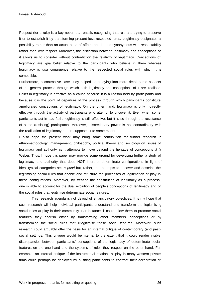Respect (for a rule) is a key notion that entails recognising that rule and trying to preserve it or to establish it by transforming present less respected rules. Legitimacy designates a possibility rather than an actual state of affairs and is thus synonymous with respectability rather than with respect. Moreover, the distinction between legitimacy and conceptions of it allows us to consider without contradiction the relativity of legitimacy. Conceptions of legitimacy are *qua* belief relative to the participants who believe in them whereas legitimacy is *qua* congruence relative to the respected social rules with which it is compatible.

Furthermore, a contrastive case-study helped us studying into more detail some aspects of the general process through which both legitimacy and conceptions of it are realised. Belief in legitimacy is effective as a cause because it is a reason held by participants and because it is the point of departure of the process through which participants constitute ameliorated conceptions of legitimacy. On the other hand, legitimacy is only indirectly effective through the activity of participants who attempt to uncover it. Even when some participants act in bad faith, legitimacy is still effective, but it is so through the resistance of some (resisting) participants. Moreover, discretionary power is not contradictory with the realisation of legitimacy but presupposes it to some extent.

I also hope the present work may bring some contribution for further research in ethnomethodology, management, philosophy, political theory and sociology on issues of legitimacy and authority as it attempts to move beyond the heritage of conceptions *à la* Weber. Thus, I hope this paper may provide some ground for developing further a study of legitimacy and authority that does NOT interpret determinate configurations in light of ideal typical categories set *a priori* but, rather, that attempts to uncover and describe the legitimising social rules that enable and structure the processes of legitimation at play in these configurations. Moreover, by treating the constitution of legitimacy as a process, one is able to account for the dual evolution of people's conceptions of legitimacy and of the social rules that legitimise determinate social features.

This research agenda is not devoid of emancipatory objectives. It is my hope that such research will help individual participants understand and transform the legitimising social rules at play in their community. For instance, it could allow them to promote social features they cherish either by transforming other members' conceptions or by transforming the social rules that il/legitimise these social features. Moreover, such research could arguably offer the basis for an internal critique of contemporary (and past) social settings. This critique would be internal to the extent that it could render visible discrepancies between participants' conceptions of the legitimacy of determinate social features on the one hand and the systems of rules they respect on the other hand. For example, an internal critique of the instrumental relations at play in many western private firms could perhaps be deployed by pushing participants to confront their acceptation of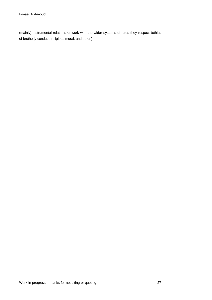(mainly) instrumental relations of work with the wider systems of rules they respect (ethics of brotherly conduct, religious moral, and so on).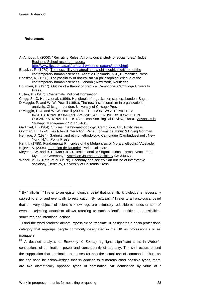#### **References**

Al-Amoudi, I. (2006). "Revisiting Rules. An ontological study of social rules." Judge Business School research papers.

http://www.jbs.cam.ac.uk/research/working\_papers/index.html.

- Bhaskar, R. (1979). The possibility of naturalism : a philosophical critique of the contemporary human sciences. Atlantic Highlands, N.J., Humanities Press.
- Bhaskar, R. (1998). The possibility of naturalism : a philosophical critique of the contemporary human sciences. London ; New York, Routledge.
- Bourdieu, P. (1977). Outline of a theory of practice. Cambridge, Cambridge University Press.
- Bullen, P. (1987). Charismatic Political Domination.
- Clegg, S., C. Hardy, et al. (1996). Handbook of organization studies. London, Sage.
- DiMaggio, P. and W. W. Powell (1991). The new institutionalism in organizational analysis. Chicago ; London, University of Chicago Press.
- DiMaggio, P. J. and W. W. Powell (2000). "THE IRON CAGE REVISITED: INSTITUTIONAL ISOMORPHISM AND COLLECTIVE RATIONALITY IN ORGANIZATIONAL FIELDS (American Sociological Review, 1983)." Advances in Strategic Management **17**: 143-166.
- Garfinkel, H. (1984). Studies in ethnomethodology. Cambridge, UK, Polity Press.
- Goffman, E. (1974). Les Rites d'Intéraction. Paris, Editions de Minuit & Erving Goffman.

Heritage, J. (1984). Garfinkel and ethnomethodology. Cambridge [Cambridgeshire] ; New York, N.Y., Polity Press.

- Kant, I. (1785). Fundamental Principles of the Metaphysic of Morals, eBooks@Adelaide.
- Kojève, A. (2004). La notion de l'autorité. Paris, Gallimard.
- Meyer, J. W. and B. Rowan (1977). "Institutionalizd Organizations: Formal Structure as Myth and Ceremony." American Journal of Sociology **93**: 340-63.
- Weber, M., G. Roth, et al. (1978). Economy and society : an outline of interpretive sociology. Berkeley, University of California Press.

 $1$  By "fallibilism" I refer to an epistemological belief that scientific knowledge is necessarily subject to error and eventually to rectification. By "actualism" I refer to an ontological belief that the very objects of scientific knowledge are ultimately reducible to series or sets of events. Rejecting actualism allows referring to such scientific entities as possibilities, structures and intentional actions.

 $2$  I find the word "cadres" almost impossible to translate. It designates a socio-professional category that regroups people commonly designated in the UK as professionals or as managers.

<sup>33</sup> A detailed analysis of *Economy & Society* highlights significant shifts in Weber's conceptions of domination, power and consequently of authority. The shift occurs around the supposition that domination supposes (or not) the actual use of commands. Thus, on the one hand he acknowledges that 'in addition to numerous other possible types, there are two diametrically opposed types of domination, viz domination by virtue of a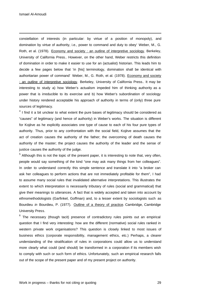constellation of interests (in particular: by virtue of a position of monopoly), and domination by virtue of authority, i.e., power to command and duty to obey' Weber, M., G. Roth, et al. (1978). Economy and society : an outline of interpretive sociology. Berkeley, University of California Press.. However, on the other hand, Weber restricts this definition of domination in order to make it easier to use for an (actualist) historian. This leads him to decide a few pages below that 'in [his] terminology, domination shall be identical with authoritarian power of command' Weber, M., G. Roth, et al. (1978). Economy and society : an outline of interpretive sociology. Berkeley, University of California Press.. It may be interesting to study a) how Weber's actualism impeded him of thinking authority as a power that is irreducible to its exercise and b) how Weber's subordination of sociology under history rendered acceptable his approach of authority in terms of (only) three pure sources of legitimacy.

 $4$  I find it a bit unclear to what extent the pure bases of legitimacy should be considered as "causes" of legitimacy (and hence of authority) in Weber's works. The situation is different for Kojève as he explicitly associates one type of cause to each of his four pure types of authority. Thus, prior to any confrontation with the social field, Kojève assumes that the act of creation causes the authority of the father; the overcoming of death causes the authority of the master; the project causes the authority of the leader and the sense of justice causes the authority of the judge.

 $<sup>5</sup>$  Although this is not the topic of the present paper, it is interesting to note that, very often,</sup> people would say something of the kind "one may ask many things from her colleagues". In order to understand correctly this simple sentence and translate it into "a broker can ask her colleagues to perform actions that are not immediately profitable for them", I had to assume many social rules that invalidated alternative interpretations. This illustrates the extent to which interpretation is necessarily tributary of rules (social and grammatical) that give their meanings to utterances. A fact that is widely accepted and taken into account by ethnomethodologists (Garfinkel, Goffman) and, to a lesser extent by sociologists such as Bourdieu *in* Bourdieu, P. (1977). Outline of a theory of practice. Cambridge, Cambridge University Press.

 $6$  The necessary (though tacit) presence of contradictory rules points out an empirical question that I find very interesting: how are the different (normative) social rules ranked in western private work organisations? This question is closely linked to most issues of business ethics (corporate responsibility, management ethics, etc.) Perhaps, a clearer understanding of the stratification of rules in corporations could allow us to understand more clearly what could (and should) be transformed in a corporation if its members wish to comply with such or such form of ethics. Unfortunately, such an empirical research falls out of the scope of the present paper and of my present project on authority.